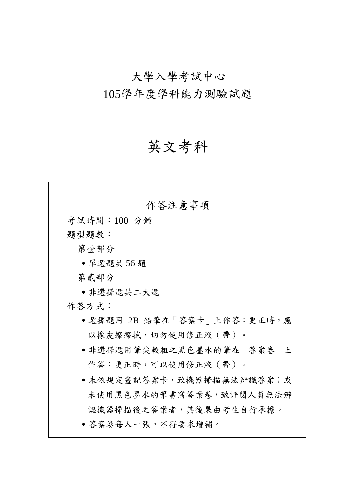# 大學入學考試中心

105學年度學科能力測驗試題

# 英文考科

| 一作答注意事項-                                |
|-----------------------------------------|
| 考試時間:100 分鐘                             |
| 題型題數:                                   |
| 第壹部分                                    |
| • 單選題共 56題                              |
| 第貳部分                                    |
| ●非選擇題共二大題                               |
| 作答方式:                                   |
| •選擇題用 2B 鉛筆在「答案卡 <sub>」</sub> 上作答;更正時,應 |
| 以橡皮擦擦拭,切勿使用修正液(帶)。                      |
| • 非選擇題用筆尖較粗之黑色墨水的筆在   答案卷   上           |
| 作答;更正時,可以使用修正液 ( 帶 ) 。                  |
| • 未依規定書記答案卡,致機器掃描無法辨識答案;或               |
| 未使用黑色墨水的筆書寫答案卷,致評閱人員無法辨                 |
| 認機器掃描後之答案者,其後果由考生自行承擔。                  |
| • 答案卷每人一張,不得要求增補。                       |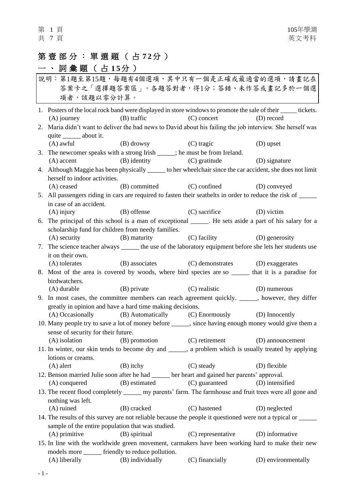## 第壹部分:單選題 ( 占 **7 2** 分 )

# 一、詞彙題 (占15分)

| 說明:第1題至第15題,每題有4個選項,其中只有一個是正確或最適當的選項,請畫記在<br>答案卡之「選擇題答案區」。各題答對者,得1分;答錯、未作答或畫記多於一個選                                              |               |                                                                  |                     |  |  |
|---------------------------------------------------------------------------------------------------------------------------------|---------------|------------------------------------------------------------------|---------------------|--|--|
| 項者,該題以零分計算。                                                                                                                     |               |                                                                  |                     |  |  |
| 1. Posters of the local rock band were displayed in store windows to promote the sale of their ______ tickets.<br>$(A)$ journey | $(B)$ traffic | (C) concert                                                      | (D) record          |  |  |
| 2. Maria didn't want to deliver the bad news to David about his failing the job interview. She herself was                      |               |                                                                  |                     |  |  |
| quite ________ about it.                                                                                                        |               |                                                                  |                     |  |  |
| (A) awful (B) drowsy (C) tragic                                                                                                 |               |                                                                  | (D) upset           |  |  |
| 3. The newcomer speaks with a strong Irish ____; he must be from Ireland.                                                       |               |                                                                  |                     |  |  |
| $(A)$ accent                                                                                                                    |               | (B) identity (C) gratitude (D) signature                         |                     |  |  |
| 4. Although Maggie has been physically ______ to her wheelchair since the car accident, she does not limit                      |               |                                                                  |                     |  |  |
| herself to indoor activities.                                                                                                   |               |                                                                  |                     |  |  |
| (A) ceased                                                                                                                      |               | (B) committed (C) confined                                       | (D) conveyed        |  |  |
| 5. All passengers riding in cars are required to fasten their seatbelts in order to reduce the risk of _____                    |               |                                                                  |                     |  |  |
| in case of an accident.                                                                                                         |               |                                                                  |                     |  |  |
| $(A)$ injury                                                                                                                    |               | (B) offense (C) sacrifice                                        | (D) victim          |  |  |
| 6. The principal of this school is a man of exceptional _____. He sets aside a part of his salary for a                         |               |                                                                  |                     |  |  |
| scholarship fund for children from needy families.                                                                              |               |                                                                  |                     |  |  |
|                                                                                                                                 |               | (A) security (B) maturity (C) facility (D) generosity            |                     |  |  |
| 7. The science teacher always ______ the use of the laboratory equipment before she lets her students use                       |               |                                                                  |                     |  |  |
| it on their own.                                                                                                                |               |                                                                  |                     |  |  |
| (A) tolerates                                                                                                                   |               | (B) associates (C) demonstrates (D) exaggerates                  |                     |  |  |
| 8. Most of the area is covered by woods, where bird species are so ______ that it is a paradise for                             |               |                                                                  |                     |  |  |
| birdwatchers.                                                                                                                   |               |                                                                  |                     |  |  |
|                                                                                                                                 |               | (A) durable (B) private (C) realistic (D) numerous               |                     |  |  |
| 9. In most cases, the committee members can reach agreement quickly. _____, however, they differ                                |               |                                                                  |                     |  |  |
| greatly in opinion and have a hard time making decisions.                                                                       |               |                                                                  |                     |  |  |
|                                                                                                                                 |               | (A) Occasionally (B) Automatically (C) Enormously (D) Innocently |                     |  |  |
| 10. Many people try to save a lot of money before _____, since having enough money would give them a                            |               |                                                                  |                     |  |  |
| sense of security for their future.                                                                                             |               |                                                                  |                     |  |  |
| (A) isolation (B) promotion (C) retirement (D) announcement                                                                     |               |                                                                  |                     |  |  |
| 11. In winter, our skin tends to become dry and ______, a problem which is usually treated by applying                          |               |                                                                  |                     |  |  |
| lotions or creams.<br>$(A)$ alert                                                                                               | $(B)$ itchy   | (C) steady                                                       | (D) flexible        |  |  |
| 12. Benson married Julie soon after he had _____ her heart and gained her parents' approval.                                    |               |                                                                  |                     |  |  |
| (A) conquered                                                                                                                   | (B) estimated | (C) guaranteed                                                   | (D) intensified     |  |  |
| 13. The recent flood completely _______ my parents' farm. The farmhouse and fruit trees were all gone and                       |               |                                                                  |                     |  |  |
| nothing was left.                                                                                                               |               |                                                                  |                     |  |  |
| $(A)$ ruined                                                                                                                    | (B) cracked   | (C) hastened                                                     | (D) neglected       |  |  |
| 14. The results of this survey are not reliable because the people it questioned were not a typical or ______                   |               |                                                                  |                     |  |  |
| sample of the entire population that was studied.                                                                               |               |                                                                  |                     |  |  |
| $(A)$ primitive                                                                                                                 | (B) spiritual | (C) representative                                               | (D) informative     |  |  |
| 15. In line with the worldwide green movement, carmakers have been working hard to make their new                               |               |                                                                  |                     |  |  |
| models more ______ friendly to reduce pollution.                                                                                |               |                                                                  |                     |  |  |
| (A) liberally (B) individually (C) financially                                                                                  |               |                                                                  | (D) environmentally |  |  |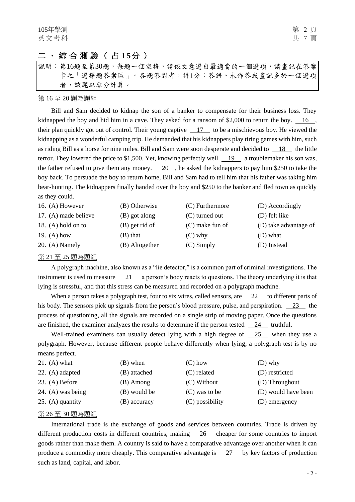#### 二、綜合測驗 ( 占 **1 5** 分 )

|  | 說明:第16題至第30題,每題一個空格,請依文意選出最適當的一個選項,請畫記在答案 |  |  |  |  |  |  |  |  |
|--|-------------------------------------------|--|--|--|--|--|--|--|--|
|  | 卡之「選擇題答案區」。各題答對者,得1分;答錯、未作答或書記多於一個選項      |  |  |  |  |  |  |  |  |
|  | 者,該題以零分計算。                                |  |  |  |  |  |  |  |  |

#### 第 16 至 20 題為題組

Bill and Sam decided to kidnap the son of a banker to compensate for their business loss. They kidnapped the boy and hid him in a cave. They asked for a ransom of \$2,000 to return the boy.  $\frac{16}{16}$ , their plan quickly got out of control. Their young captive 17 to be a mischievous boy. He viewed the kidnapping as a wonderful camping trip. He demanded that his kidnappers play tiring games with him, such as riding Bill as a horse for nine miles. Bill and Sam were soon desperate and decided to 18 the little terror. They lowered the price to \$1,500. Yet, knowing perfectly well 19 a troublemaker his son was, the father refused to give them any money. 20 , he asked the kidnappers to pay him \$250 to take the boy back. To persuade the boy to return home, Bill and Sam had to tell him that his father was taking him bear-hunting. The kidnappers finally handed over the boy and \$250 to the banker and fled town as quickly as they could.

| 16. (A) However      | (B) Otherwise  | (C) Furthermore   | (D) Accordingly       |
|----------------------|----------------|-------------------|-----------------------|
| 17. (A) made believe | (B) got along  | (C) turned out    | (D) felt like         |
| 18. $(A)$ hold on to | (B) get rid of | $(C)$ make fun of | (D) take advantage of |
| 19. $(A)$ how        | (B) that       | $(C)$ why         | (D) what              |
| $20. (A)$ Namely     | (B) Altogether | $(C)$ Simply      | (D) Instead           |

#### 第 21 至 25 題為題組

A polygraph machine, also known as a "lie detector," is a common part of criminal investigations. The instrument is used to measure 21 a person's body reacts to questions. The theory underlying it is that lying is stressful, and that this stress can be measured and recorded on a polygraph machine.

When a person takes a polygraph test, four to six wires, called sensors, are 22 to different parts of his body. The sensors pick up signals from the person's blood pressure, pulse, and perspiration. 23 the process of questioning, all the signals are recorded on a single strip of moving paper. Once the questions are finished, the examiner analyzes the results to determine if the person tested  $\frac{24}{124}$  truthful.

Well-trained examiners can usually detect lying with a high degree of 25 when they use a polygraph. However, because different people behave differently when lying, a polygraph test is by no means perfect.

| 21. (A) what      | (B) when     | $(C)$ how       | $(D)$ why           |
|-------------------|--------------|-----------------|---------------------|
| 22. (A) adapted   | (B) attached | (C) related     | (D) restricted      |
| $23. (A)$ Before  | (B) Among    | $(C)$ Without   | (D) Throughout      |
| 24. (A) was being | (B) would be | (C) was to be   | (D) would have been |
| 25. (A) quantity  | (B) accuracy | (C) possibility | (D) emergency       |

#### 第 26 至 30 題為題組

International trade is the exchange of goods and services between countries. Trade is driven by different production costs in different countries, making 26 cheaper for some countries to import goods rather than make them. A country is said to have a comparative advantage over another when it can produce a commodity more cheaply. This comparative advantage is 27 by key factors of production such as land, capital, and labor.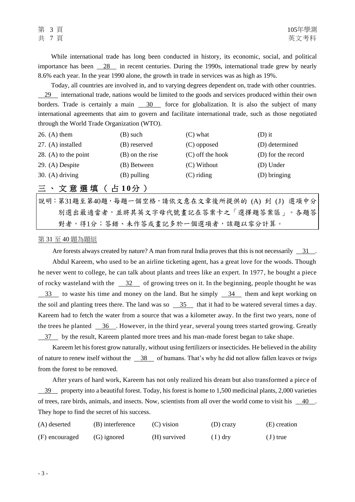While international trade has long been conducted in history, its economic, social, and political importance has been  $\frac{28}{100}$  in recent centuries. During the 1990s, international trade grew by nearly 8.6% each year. In the year 1990 alone, the growth in trade in services was as high as 19%.

Today, all countries are involved in, and to varying degrees dependent on, trade with other countries. 29 international trade, nations would be limited to the goods and services produced within their own borders. Trade is certainly a main 30 force for globalization. It is also the subject of many international agreements that aim to govern and facilitate international trade, such as those negotiated through the World Trade Organization (WTO).

| 26. $(A)$ them       | (B) such        | $(C)$ what         | $(D)$ it           |
|----------------------|-----------------|--------------------|--------------------|
| $27. (A)$ installed  | (B) reserved    | (C) opposed        | (D) determined     |
| 28. (A) to the point | (B) on the rise | $(C)$ off the hook | (D) for the record |
| $29. (A)$ Despite    | (B) Between     | (C) Without        | (D) Under          |
| 30. (A) driving      | $(B)$ pulling   | $(C)$ riding       | (D) bringing       |

#### 三、文意選填 ( 占 **1 0** 分 )

說明:第31題至第40題,每題一個空格,請依文意在文章後所提供的 (A) 到 (J) 選項中分 別選出最適當者,並將其英文字母代號畫記在答案卡之「選擇題答案區」。各題答 對者,得1分;答錯、未作答或畫記多於一個選項者,該題以零分計算。

#### 第 31 至 40 題為題組

Are forests always created by nature? A man from rural India proves that this is not necessarily  $\frac{31}{1}$ . Abdul Kareem, who used to be an airline ticketing agent, has a great love for the woods. Though he never went to college, he can talk about plants and trees like an expert. In 1977, he bought a piece of rocky wasteland with the 32 of growing trees on it. In the beginning, people thought he was 33 to waste his time and money on the land. But he simply 34 them and kept working on the soil and planting trees there. The land was so  $\frac{35}{100}$  that it had to be watered several times a day. Kareem had to fetch the water from a source that was a kilometer away. In the first two years, none of the trees he planted  $\frac{36}{10}$ . However, in the third year, several young trees started growing. Greatly 37 by the result, Kareem planted more trees and his man-made forest began to take shape.

Kareem let his forest grow naturally, without using fertilizers or insecticides. He believed in the ability of nature to renew itself without the 38 of humans. That's why he did not allow fallen leaves or twigs from the forest to be removed.

After years of hard work, Kareem has not only realized his dream but also transformed a piece of 39 property into a beautiful forest. Today, his forest is home to 1,500 medicinal plants, 2,000 varieties of trees, rare birds, animals, and insects. Now, scientists from all over the world come to visit his 40 . They hope to find the secret of his success.

| (A) deserted   | (B) interference | (C) vision   | $(D)$ crazy | (E) creation |
|----------------|------------------|--------------|-------------|--------------|
| (F) encouraged | $(G)$ ignored    | (H) survived | $(1)$ dry   | $(J)$ true   |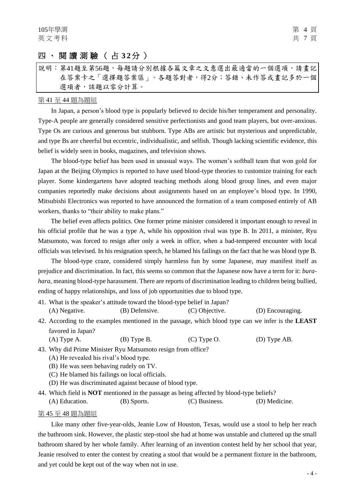#### 四、閱讀測驗 ( 占 **3 2** 分 )

#### 說明︰第41題至第56題,每題請分別根據各篇文章之文意選出最適當的一個選項,請書記 在答案卡之「選擇題答案區」。各題答對者,得2分;答錯、未作答或畫記多於一個 選項者,該題以零分計算。

#### 第 41 至 44 題為題組

In Japan, a person's blood type is popularly believed to decide his/her temperament and personality. Type-A people are generally considered sensitive perfectionists and good team players, but over-anxious. Type Os are curious and generous but stubborn. Type ABs are artistic but mysterious and unpredictable, and type Bs are cheerful but eccentric, individualistic, and selfish. Though lacking scientific evidence, this belief is widely seen in books, magazines, and television shows.

The blood-type belief has been used in unusual ways. The women's softball team that won gold for Japan at the Beijing Olympics is reported to have used blood-type theories to customize training for each player. Some kindergartens have adopted teaching methods along blood group lines, and even major companies reportedly make decisions about assignments based on an employee's blood type. In 1990, Mitsubishi Electronics was reported to have announced the formation of a team composed entirely of AB workers, thanks to "their ability to make plans."

The belief even affects politics. One former prime minister considered it important enough to reveal in his official profile that he was a type A, while his opposition rival was type B. In 2011, a minister, Ryu Matsumoto, was forced to resign after only a week in office, when a bad-tempered encounter with local officials was televised. In his resignation speech, he blamed his failings on the fact that he was blood type B.

The blood-type craze, considered simply harmless fun by some Japanese, may manifest itself as prejudice and discrimination. In fact, this seems so common that the Japanese now have a term for it: *burahara*, meaning blood-type harassment. There are reports of discrimination leading to children being bullied, ending of happy relationships, and loss of job opportunities due to blood type.

| 41. What is the speaker's attitude toward the blood-type belief in Japan? |                |                |                  |
|---------------------------------------------------------------------------|----------------|----------------|------------------|
| (A) Negative.                                                             | (B) Defensive. | (C) Objective. | (D) Encouraging. |

- 42. According to the examples mentioned in the passage, which blood type can we infer is the **LEAST** favored in Japan?
	- (A) Type A. (B) Type B. (C) Type O. (D) Type AB.
- 43. Why did Prime Minister Ryu Matsumoto resign from office?
	- (A) He revealed his rival's blood type.
	- (B) He was seen behaving rudely on TV.
	- (C) He blamed his failings on local officials.
	- (D) He was discriminated against because of blood type.
- 44. Which field is **NOT** mentioned in the passage as being affected by blood-type beliefs?

(A) Education. (B) Sports. (C) Business. (D) Medicine.

#### 第 45 至 48 題為題組

Like many other five-year-olds, Jeanie Low of Houston, Texas, would use a stool to help her reach the bathroom sink. However, the plastic step-stool she had at home was unstable and cluttered up the small bathroom shared by her whole family. After learning of an invention contest held by her school that year, Jeanie resolved to enter the contest by creating a stool that would be a permanent fixture in the bathroom, and yet could be kept out of the way when not in use.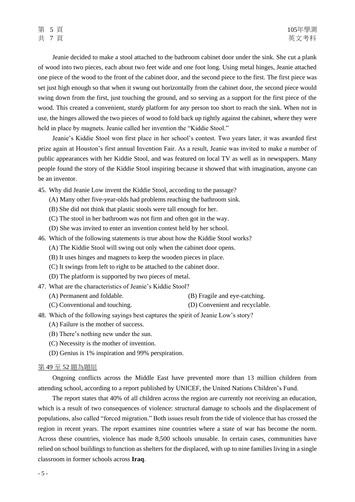Jeanie decided to make a stool attached to the bathroom cabinet door under the sink. She cut a plank of wood into two pieces, each about two feet wide and one foot long. Using metal hinges, Jeanie attached one piece of the wood to the front of the cabinet door, and the second piece to the first. The first piece was set just high enough so that when it swung out horizontally from the cabinet door, the second piece would swing down from the first, just touching the ground, and so serving as a support for the first piece of the wood. This created a convenient, sturdy platform for any person too short to reach the sink. When not in use, the hinges allowed the two pieces of wood to fold back up tightly against the cabinet, where they were held in place by magnets. Jeanie called her invention the "Kiddie Stool."

Jeanie's Kiddie Stool won first place in her school's contest. Two years later, it was awarded first prize again at Houston's first annual Invention Fair. As a result, Jeanie was invited to make a number of public appearances with her Kiddie Stool, and was featured on local TV as well as in newspapers. Many people found the story of the Kiddie Stool inspiring because it showed that with imagination, anyone can be an inventor.

- 45. Why did Jeanie Low invent the Kiddie Stool, according to the passage?
	- (A) Many other five-year-olds had problems reaching the bathroom sink.
	- (B) She did not think that plastic stools were tall enough for her.
	- (C) The stool in her bathroom was not firm and often got in the way.
	- (D) She was invited to enter an invention contest held by her school.
- 46. Which of the following statements is true about how the Kiddie Stool works?
	- (A) The Kiddie Stool will swing out only when the cabinet door opens.
	- (B) It uses hinges and magnets to keep the wooden pieces in place.
	- (C) It swings from left to right to be attached to the cabinet door.
	- (D) The platform is supported by two pieces of metal.
- 47. What are the characteristics of Jeanie's Kiddie Stool?
	- (A) Permanent and foldable. (B) Fragile and eye-catching.
	- (C) Conventional and touching. (D) Convenient and recyclable.
- 48. Which of the following sayings best captures the spirit of Jeanie Low's story?
	- (A) Failure is the mother of success.
	- (B) There's nothing new under the sun.
	- (C) Necessity is the mother of invention.
	- (D) Genius is 1% inspiration and 99% perspiration.

#### 第 49 至 52 題為題組

Ongoing conflicts across the Middle East have prevented more than 13 million children from attending school, according to [a report](http://www.unicef.org.uk/Documents/Media/Education%20Under%20Fire.pdf) published by UNICEF, the United Nations Children's Fund.

The report states that 40% of all children across the region are currently not receiving an education, which is a result of two consequences of violence: structural damage to schools and the displacement of populations, also called "forced migration." Both issues result from the tide of violence that has crossed the region in recent years. The report examines nine countries where a state of war has become the norm. Across these countries, violence has made 8,500 schools unusable. In certain cases, communities have relied on school buildings to function as shelters for the displaced, with up to nine families living in a single classroom in former schools across **Iraq**.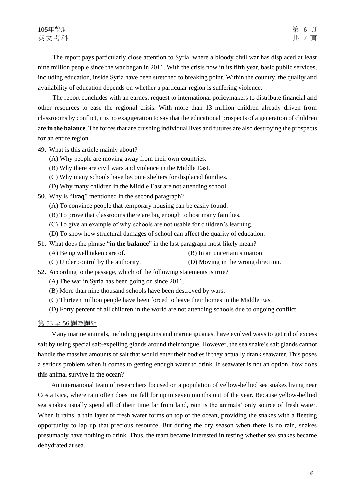The report pays particularly close attention to Syria, where a bloody civil war has displaced at least nine million people since the war began in 2011. With the crisis now in its fifth year, basic public services, including education, inside Syria have been stretched to breaking point. Within the country, the quality and availability of education depends on whether a particular region is suffering violence.

The report concludes with an earnest request to international policymakers to distribute financial and other resources to ease the regional crisis. With more than 13 million children already driven from classrooms by conflict, it is no exaggeration to say that the educational prospects of a generation of children are **in the balance**. The forces that are crushing individual lives and futures are also destroying the prospects for an entire region.

- 49. What is this article mainly about?
	- (A) Why people are moving away from their own countries.
	- (B) Why there are civil wars and violence in the Middle East.
	- (C) Why many schools have become shelters for displaced families.
	- (D) Why many children in the Middle East are not attending school.
- 50. Why is "**Iraq**" mentioned in the second paragraph?
	- (A) To convince people that temporary housing can be easily found.
	- (B) To prove that classrooms there are big enough to host many families.
	- (C) To give an example of why schools are not usable for children's learning.
	- (D) To show how structural damages of school can affect the quality of education.
- 51. What does the phrase "**in the balance**" in the last paragraph most likely mean?
	- (A) Being well taken care of. (B) In an uncertain situation.
	- (C) Under control by the authority. (D) Moving in the wrong direction.
- 52. According to the passage, which of the following statements is true?
	- (A) The war in Syria has been going on since 2011.
	- (B) More than nine thousand schools have been destroyed by wars.
	- (C) Thirteen million people have been forced to leave their homes in the Middle East.
	- (D) Forty percent of all children in the world are not attending schools due to ongoing conflict.

#### 第 53 至 56 題為題組

Many marine animals, including penguins and marine iguanas, have evolved ways to get rid of excess salt by using special salt-expelling glands around their tongue. However, the sea snake's salt glands cannot handle the massive amounts of salt that would enter their bodies if they actually drank seawater. This poses a serious problem when it comes to getting enough water to drink. If seawater is not an option, how does this animal survive in the ocean?

An international team of researchers focused on a population of yellow-bellied sea snakes living near Costa Rica, where rain often does not fall for up to seven months out of the year. Because yellow-bellied sea snakes usually spend all of their time far from land, rain is the animals' only source of fresh water. When it rains, a thin layer of fresh water forms on top of the ocean, providing the snakes with a fleeting opportunity to lap up that precious resource. But during the dry season when there is no rain, snakes presumably have nothing to drink. Thus, the team became interested in testing whether sea snakes became dehydrated at sea.